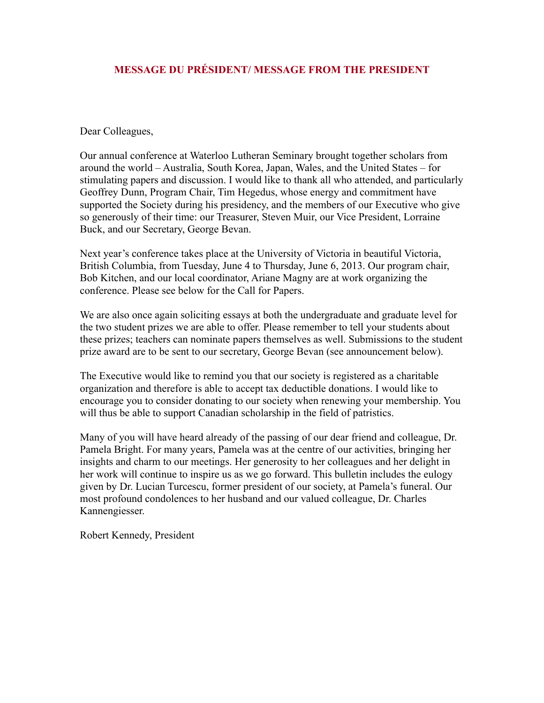# **MESSAGE DU PRÉSIDENT/ MESSAGE FROM THE PRESIDENT**

Dear Colleagues,

Our annual conference at Waterloo Lutheran Seminary brought together scholars from around the world – Australia, South Korea, Japan, Wales, and the United States – for stimulating papers and discussion. I would like to thank all who attended, and particularly Geoffrey Dunn, Program Chair, Tim Hegedus, whose energy and commitment have supported the Society during his presidency, and the members of our Executive who give so generously of their time: our Treasurer, Steven Muir, our Vice President, Lorraine Buck, and our Secretary, George Bevan.

Next year's conference takes place at the University of Victoria in beautiful Victoria, British Columbia, from Tuesday, June 4 to Thursday, June 6, 2013. Our program chair, Bob Kitchen, and our local coordinator, Ariane Magny are at work organizing the conference. Please see below for the Call for Papers.

We are also once again soliciting essays at both the undergraduate and graduate level for the two student prizes we are able to offer. Please remember to tell your students about these prizes; teachers can nominate papers themselves as well. Submissions to the student prize award are to be sent to our secretary, George Bevan (see announcement below).

The Executive would like to remind you that our society is registered as a charitable organization and therefore is able to accept tax deductible donations. I would like to encourage you to consider donating to our society when renewing your membership. You will thus be able to support Canadian scholarship in the field of patristics.

Many of you will have heard already of the passing of our dear friend and colleague, Dr. Pamela Bright. For many years, Pamela was at the centre of our activities, bringing her insights and charm to our meetings. Her generosity to her colleagues and her delight in her work will continue to inspire us as we go forward. This bulletin includes the eulogy given by Dr. Lucian Turcescu, former president of our society, at Pamela's funeral. Our most profound condolences to her husband and our valued colleague, Dr. Charles Kannengiesser.

Robert Kennedy, President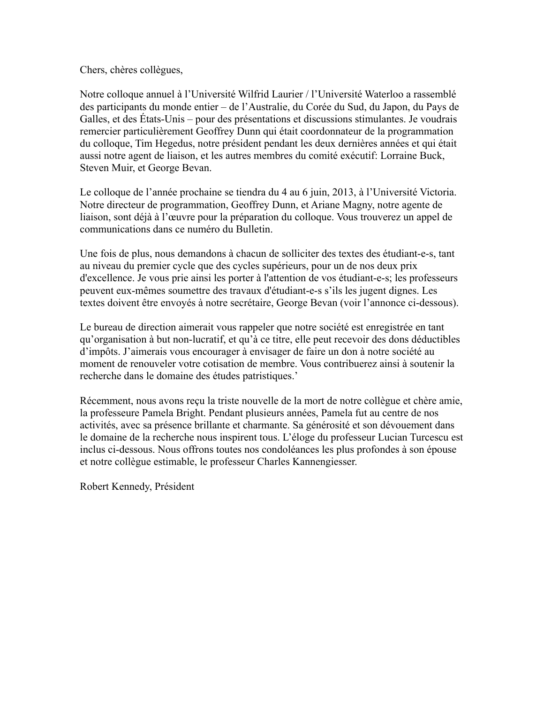Chers, chères collègues,

Notre colloque annuel à l'Université Wilfrid Laurier / l'Université Waterloo a rassemblé des participants du monde entier – de l'Australie, du Corée du Sud, du Japon, du Pays de Galles, et des États-Unis – pour des présentations et discussions stimulantes. Je voudrais remercier particulièrement Geoffrey Dunn qui était coordonnateur de la programmation du colloque, Tim Hegedus, notre président pendant les deux dernières années et qui était aussi notre agent de liaison, et les autres membres du comité exécutif: Lorraine Buck, Steven Muir, et George Bevan.

Le colloque de l'année prochaine se tiendra du 4 au 6 juin, 2013, à l'Université Victoria. Notre directeur de programmation, Geoffrey Dunn, et Ariane Magny, notre agente de liaison, sont déjà à l'œuvre pour la préparation du colloque. Vous trouverez un appel de communications dans ce numéro du Bulletin.

Une fois de plus, nous demandons à chacun de solliciter des textes des étudiant-e-s, tant au niveau du premier cycle que des cycles supérieurs, pour un de nos deux prix d'excellence. Je vous prie ainsi les porter à l'attention de vos étudiant-e-s; les professeurs peuvent eux-mêmes soumettre des travaux d'étudiant-e-s s'ils les jugent dignes. Les textes doivent être envoyés à notre secrétaire, George Bevan (voir l'annonce ci-dessous).

Le bureau de direction aimerait vous rappeler que notre société est enregistrée en tant qu'organisation à but non-lucratif, et qu'à ce titre, elle peut recevoir des dons déductibles d'impôts. J'aimerais vous encourager à envisager de faire un don à notre société au moment de renouveler votre cotisation de membre. Vous contribuerez ainsi à soutenir la recherche dans le domaine des études patristiques.'

Récemment, nous avons reçu la triste nouvelle de la mort de notre collègue et chère amie, la professeure Pamela Bright. Pendant plusieurs années, Pamela fut au centre de nos activités, avec sa présence brillante et charmante. Sa générosité et son dévouement dans le domaine de la recherche nous inspirent tous. L'éloge du professeur Lucian Turcescu est inclus ci-dessous. Nous offrons toutes nos condoléances les plus profondes à son épouse et notre collègue estimable, le professeur Charles Kannengiesser.

Robert Kennedy, Président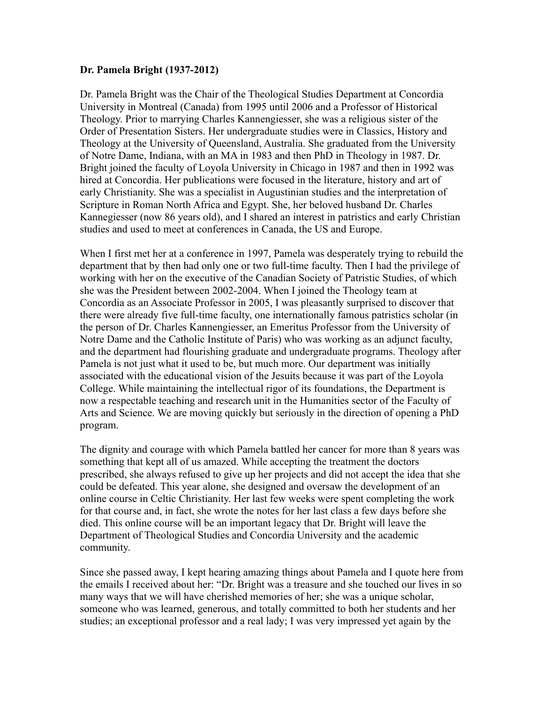#### **Dr. Pamela Bright (1937-2012)**

Dr. Pamela Bright was the Chair of the Theological Studies Department at Concordia University in Montreal (Canada) from 1995 until 2006 and a Professor of Historical Theology. Prior to marrying Charles Kannengiesser, she was a religious sister of the Order of Presentation Sisters. Her undergraduate studies were in Classics, History and Theology at the University of Queensland, Australia. She graduated from the University of Notre Dame, Indiana, with an MA in 1983 and then PhD in Theology in 1987. Dr. Bright joined the faculty of Loyola University in Chicago in 1987 and then in 1992 was hired at Concordia. Her publications were focused in the literature, history and art of early Christianity. She was a specialist in Augustinian studies and the interpretation of Scripture in Roman North Africa and Egypt. She, her beloved husband Dr. Charles Kannegiesser (now 86 years old), and I shared an interest in patristics and early Christian studies and used to meet at conferences in Canada, the US and Europe.

When I first met her at a conference in 1997, Pamela was desperately trying to rebuild the department that by then had only one or two full-time faculty. Then I had the privilege of working with her on the executive of the Canadian Society of Patristic Studies, of which she was the President between 2002-2004. When I joined the Theology team at Concordia as an Associate Professor in 2005, I was pleasantly surprised to discover that there were already five full-time faculty, one internationally famous patristics scholar (in the person of Dr. Charles Kannengiesser, an Emeritus Professor from the University of Notre Dame and the Catholic Institute of Paris) who was working as an adjunct faculty, and the department had flourishing graduate and undergraduate programs. Theology after Pamela is not just what it used to be, but much more. Our department was initially associated with the educational vision of the Jesuits because it was part of the Loyola College. While maintaining the intellectual rigor of its foundations, the Department is now a respectable teaching and research unit in the Humanities sector of the Faculty of Arts and Science. We are moving quickly but seriously in the direction of opening a PhD program.

The dignity and courage with which Pamela battled her cancer for more than 8 years was something that kept all of us amazed. While accepting the treatment the doctors prescribed, she always refused to give up her projects and did not accept the idea that she could be defeated. This year alone, she designed and oversaw the development of an online course in Celtic Christianity. Her last few weeks were spent completing the work for that course and, in fact, she wrote the notes for her last class a few days before she died. This online course will be an important legacy that Dr. Bright will leave the Department of Theological Studies and Concordia University and the academic community.

Since she passed away, I kept hearing amazing things about Pamela and I quote here from the emails I received about her: "Dr. Bright was a treasure and she touched our lives in so many ways that we will have cherished memories of her; she was a unique scholar, someone who was learned, generous, and totally committed to both her students and her studies; an exceptional professor and a real lady; I was very impressed yet again by the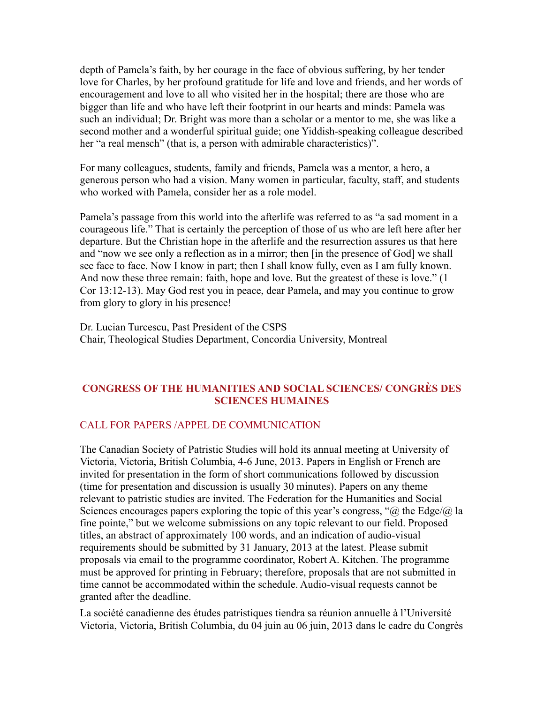depth of Pamela's faith, by her courage in the face of obvious suffering, by her tender love for Charles, by her profound gratitude for life and love and friends, and her words of encouragement and love to all who visited her in the hospital; there are those who are bigger than life and who have left their footprint in our hearts and minds: Pamela was such an individual; Dr. Bright was more than a scholar or a mentor to me, she was like a second mother and a wonderful spiritual guide; one Yiddish-speaking colleague described her "a real mensch" (that is, a person with admirable characteristics)".

For many colleagues, students, family and friends, Pamela was a mentor, a hero, a generous person who had a vision. Many women in particular, faculty, staff, and students who worked with Pamela, consider her as a role model.

Pamela's passage from this world into the afterlife was referred to as "a sad moment in a courageous life." That is certainly the perception of those of us who are left here after her departure. But the Christian hope in the afterlife and the resurrection assures us that here and "now we see only a reflection as in a mirror; then [in the presence of God] we shall see face to face. Now I know in part; then I shall know fully, even as I am fully known. And now these three remain: faith, hope and love. But the greatest of these is love." (1 Cor 13:12-13). May God rest you in peace, dear Pamela, and may you continue to grow from glory to glory in his presence!

Dr. Lucian Turcescu, Past President of the CSPS Chair, Theological Studies Department, Concordia University, Montreal

# **CONGRESS OF THE HUMANITIES AND SOCIAL SCIENCES/ CONGRÈS DES SCIENCES HUMAINES**

# CALL FOR PAPERS /APPEL DE COMMUNICATION

The Canadian Society of Patristic Studies will hold its annual meeting at University of Victoria, Victoria, British Columbia, 4-6 June, 2013. Papers in English or French are invited for presentation in the form of short communications followed by discussion (time for presentation and discussion is usually 30 minutes). Papers on any theme relevant to patristic studies are invited. The Federation for the Humanities and Social Sciences encourages papers exploring the topic of this year's congress, " $\omega$  the Edge/ $\omega$  la fine pointe," but we welcome submissions on any topic relevant to our field. Proposed titles, an abstract of approximately 100 words, and an indication of audio-visual requirements should be submitted by 31 January, 2013 at the latest. Please submit proposals via email to the programme coordinator, Robert A. Kitchen. The programme must be approved for printing in February; therefore, proposals that are not submitted in time cannot be accommodated within the schedule. Audio-visual requests cannot be granted after the deadline.

La société canadienne des études patristiques tiendra sa réunion annuelle à l'Université Victoria, Victoria, British Columbia, du 04 juin au 06 juin, 2013 dans le cadre du Congrès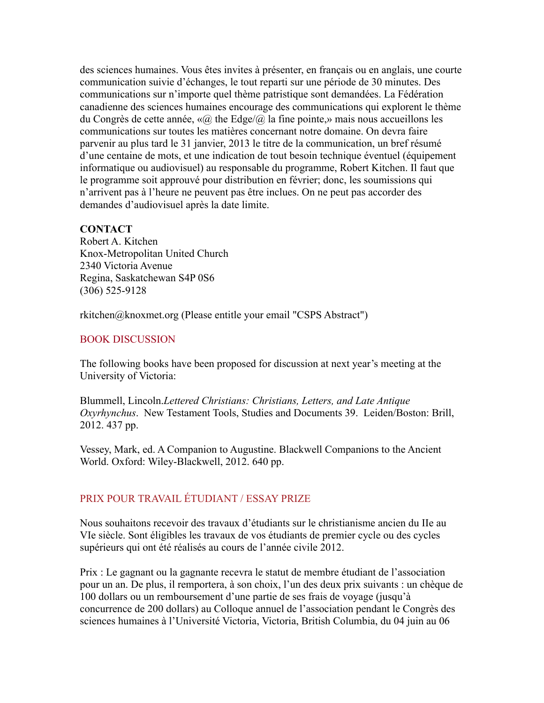des sciences humaines. Vous êtes invites à présenter, en français ou en anglais, une courte communication suivie d'échanges, le tout reparti sur une période de 30 minutes. Des communications sur n'importe quel thème patristique sont demandées. La Fédération canadienne des sciences humaines encourage des communications qui explorent le thème du Congrès de cette année,  $\langle \langle \hat{a} \rangle \rangle$  the Edge $\langle \hat{a} \rangle$  la fine pointe,  $\rangle$  mais nous accueillons les communications sur toutes les matières concernant notre domaine. On devra faire parvenir au plus tard le 31 janvier, 2013 le titre de la communication, un bref résumé d'une centaine de mots, et une indication de tout besoin technique éventuel (équipement informatique ou audiovisuel) au responsable du programme, Robert Kitchen. Il faut que le programme soit approuvé pour distribution en février; donc, les soumissions qui n'arrivent pas à l'heure ne peuvent pas être inclues. On ne peut pas accorder des demandes d'audiovisuel après la date limite.

#### **CONTACT**

Robert A. Kitchen Knox-Metropolitan United Church 2340 Victoria Avenue Regina, Saskatchewan S4P 0S6 (306) 525-9128

rkitchen@knoxmet.org (Please entitle your email "CSPS Abstract")

# BOOK DISCUSSION

The following books have been proposed for discussion at next year's meeting at the University of Victoria:

Blummell, Lincoln.*Lettered Christians: Christians, Letters, and Late Antique Oxyrhynchus*. New Testament Tools, Studies and Documents 39. Leiden/Boston: Brill, 2012. 437 pp.

Vessey, Mark, ed. A Companion to Augustine. Blackwell Companions to the Ancient World. Oxford: Wiley-Blackwell, 2012. 640 pp.

# PRIX POUR TRAVAIL ÉTUDIANT / ESSAY PRIZE

Nous souhaitons recevoir des travaux d'étudiants sur le christianisme ancien du IIe au VIe siècle. Sont éligibles les travaux de vos étudiants de premier cycle ou des cycles supérieurs qui ont été réalisés au cours de l'année civile 2012.

Prix : Le gagnant ou la gagnante recevra le statut de membre étudiant de l'association pour un an. De plus, il remportera, à son choix, l'un des deux prix suivants : un chèque de 100 dollars ou un remboursement d'une partie de ses frais de voyage (jusqu'à concurrence de 200 dollars) au Colloque annuel de l'association pendant le Congrès des sciences humaines à l'Université Victoria, Victoria, British Columbia, du 04 juin au 06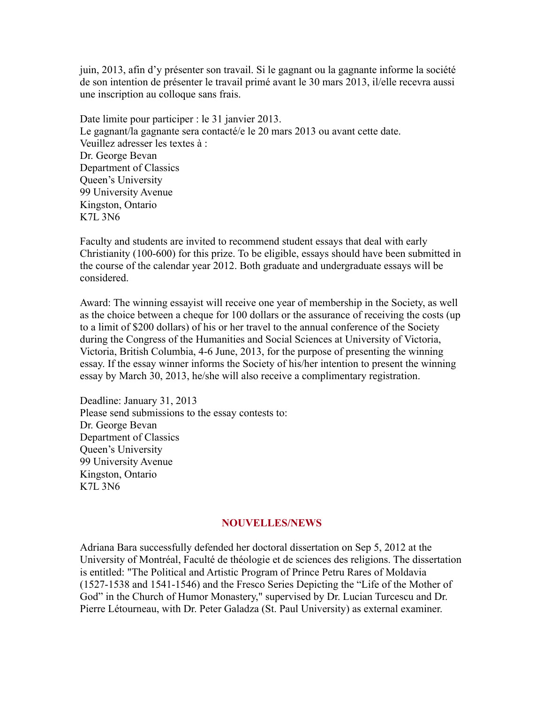juin, 2013, afin d'y présenter son travail. Si le gagnant ou la gagnante informe la société de son intention de présenter le travail primé avant le 30 mars 2013, il/elle recevra aussi une inscription au colloque sans frais.

Date limite pour participer : le 31 janvier 2013. Le gagnant/la gagnante sera contacté/e le 20 mars 2013 ou avant cette date. Veuillez adresser les textes à : Dr. George Bevan Department of Classics Queen's University 99 University Avenue Kingston, Ontario K7L 3N6

Faculty and students are invited to recommend student essays that deal with early Christianity (100-600) for this prize. To be eligible, essays should have been submitted in the course of the calendar year 2012. Both graduate and undergraduate essays will be considered.

Award: The winning essayist will receive one year of membership in the Society, as well as the choice between a cheque for 100 dollars or the assurance of receiving the costs (up to a limit of \$200 dollars) of his or her travel to the annual conference of the Society during the Congress of the Humanities and Social Sciences at University of Victoria, Victoria, British Columbia, 4-6 June, 2013, for the purpose of presenting the winning essay. If the essay winner informs the Society of his/her intention to present the winning essay by March 30, 2013, he/she will also receive a complimentary registration.

Deadline: January 31, 2013 Please send submissions to the essay contests to: Dr. George Bevan Department of Classics Queen's University 99 University Avenue Kingston, Ontario K7L 3N6

#### **NOUVELLES/NEWS**

Adriana Bara successfully defended her doctoral dissertation on Sep 5, 2012 at the University of Montréal, Faculté de théologie et de sciences des religions. The dissertation is entitled: "The Political and Artistic Program of Prince Petru Rares of Moldavia (1527-1538 and 1541-1546) and the Fresco Series Depicting the "Life of the Mother of God" in the Church of Humor Monastery," supervised by Dr. Lucian Turcescu and Dr. Pierre Létourneau, with Dr. Peter Galadza (St. Paul University) as external examiner.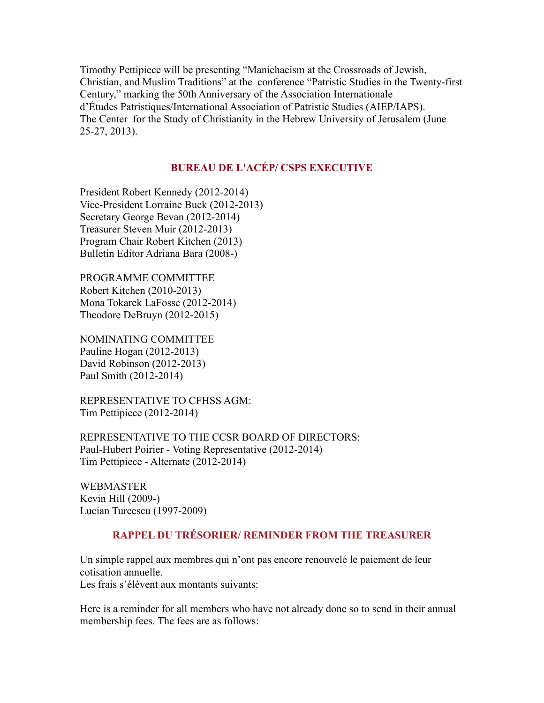Timothy Pettipiece will be presenting "Manichaeism at the Crossroads of Jewish, Christian, and Muslim Traditions" at the conference "Patristic Studies in the Twenty-first Century," marking the 50th Anniversary of the Association Internationale d'Études Patristiques/International Association of Patristic Studies (AIEP/IAPS). The Center for the Study of Christianity in the Hebrew University of Jerusalem (June 25-27, 2013).

# **BUREAU DE L'ACÉP/ CSPS EXECUTIVE**

President Robert Kennedy (2012-2014) Vice-President Lorraine Buck (2012-2013) Secretary George Bevan (2012-2014) Treasurer Steven Muir (2012-2013) Program Chair Robert Kitchen (2013) Bulletin Editor Adriana Bara (2008-)

PROGRAMME COMMITTEE Robert Kitchen (2010-2013) Mona Tokarek LaFosse (2012-2014) Theodore DeBruyn (2012-2015)

NOMINATING COMMITTEE Pauline Hogan (2012-2013) David Robinson (2012-2013) Paul Smith (2012-2014)

REPRESENTATIVE TO CFHSS AGM: Tim Pettipiece (2012-2014)

REPRESENTATIVE TO THE CCSR BOARD OF DIRECTORS: Paul-Hubert Poirier - Voting Representative (2012-2014) Tim Pettipiece - Alternate (2012-2014)

WEBMASTER Kevin Hill (2009-) Lucian Turcescu (1997-2009)

# **RAPPEL DU TRÉSORIER/ REMINDER FROM THE TREASURER**

Un simple rappel aux membres qui n'ont pas encore renouvelé le paiement de leur cotisation annuelle.

Les frais s'élèvent aux montants suivants:

Here is a reminder for all members who have not already done so to send in their annual membership fees. The fees are as follows: